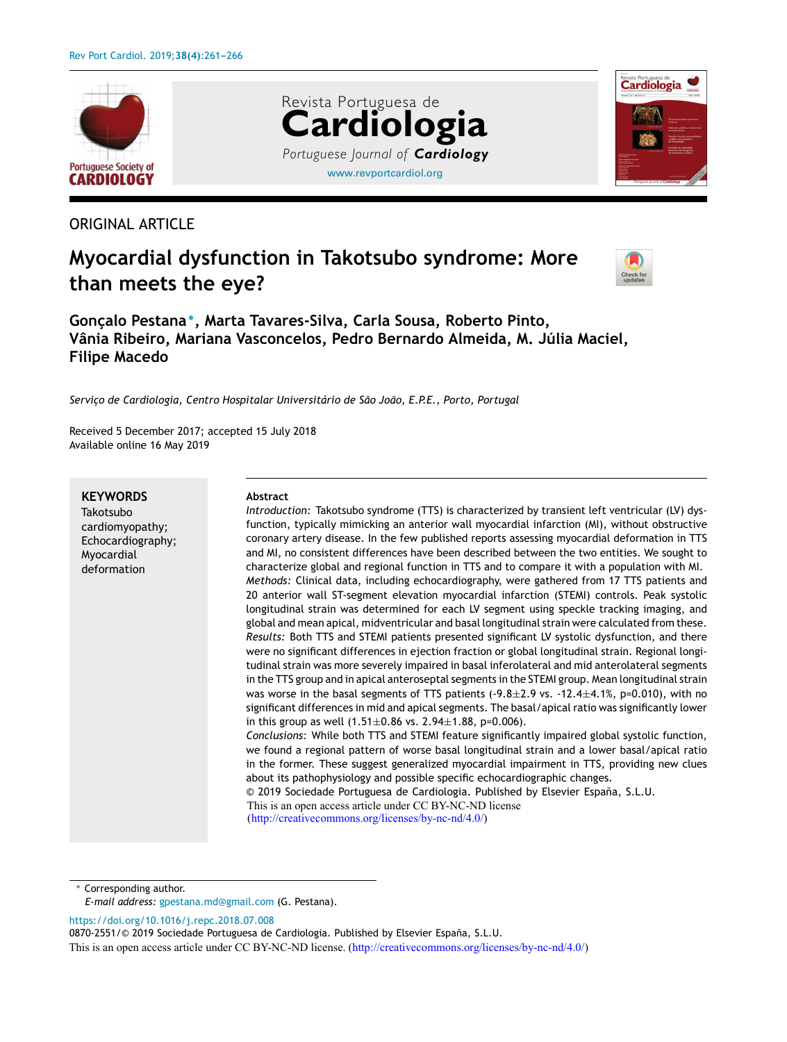



# **Myocardial dysfunction in Takotsubo syndrome: More than meets the eye?**



Cardiologia

**Gonc¸alo Pestana** <sup>∗</sup> **, Marta Tavares-Silva, Carla Sousa, Roberto Pinto, Vânia Ribeiro, Mariana Vasconcelos, Pedro Bernardo Almeida, M. Júlia Maciel, Filipe Macedo**

[www.revportcardiol.org](http://www.revportcardiol.org)

*Portuguese Journal of Cardiology*

**Cardiologia**

Revista Portuguesa de

*Servic¸o de Cardiologia, Centro Hospitalar Universitário de São João, E.P.E., Porto, Portugal*

Received 5 December 2017; accepted 15 July 2018 Available online 16 May 2019

**KEYWORDS** Takotsubo cardiomyopathy; Echocardiography; Myocardial deformation

#### **Abstract**

*Introduction:* Takotsubo syndrome (TTS) is characterized by transient left ventricular (LV) dysfunction, typically mimicking an anterior wall myocardial infarction (MI), without obstructive coronary artery disease. In the few published reports assessing myocardial deformation in TTS and MI, no consistent differences have been described between the two entities. We sought to characterize global and regional function in TTS and to compare it with a population with MI. *Methods:* Clinical data, including echocardiography, were gathered from 17 TTS patients and 20 anterior wall ST-segment elevation myocardial infarction (STEMI) controls. Peak systolic longitudinal strain was determined for each LV segment using speckle tracking imaging, and global and mean apical, midventricular and basal longitudinal strain were calculated from these. *Results:* Both TTS and STEMI patients presented significant LV systolic dysfunction, and there were no significant differences in ejection fraction or global longitudinal strain. Regional longitudinal strain was more severely impaired in basal inferolateral and mid anterolateral segments in the TTS group and in apical anteroseptal segments in the STEMI group. Mean longitudinal strain was worse in the basal segments of TTS patients  $(-9.8 \pm 2.9 \text{ vs. } -12.4 \pm 4.1\% , p=0.010)$ , with no significant differences in mid and apical segments. The basal/apical ratio was significantly lower in this group as well  $(1.51\pm0.86 \text{ vs. } 2.94\pm1.88, \text{ p=0.006}).$ *Conclusions:* While both TTS and STEMI feature significantly impaired global systolic function, we found a regional pattern of worse basal longitudinal strain and a lower basal/apical ratio in the former. These suggest generalized myocardial impairment in TTS, providing new clues about its pathophysiology and possible specific echocardiographic changes.

© 2019 Sociedade Portuguesa de Cardiologia. Published by Elsevier España, S.L.U. This is an open access article under CC BY-NC-ND license

[\(http://creativecommons.org/licenses/by-nc-nd/4.0/\)](http://creativecommons.org/licenses/by-nc-nd/4.0/)

Corresponding author.

*E-mail address:* [gpestana.md@gmail.com](mailto:gpestana.md@gmail.com) (G. Pestana).

<https://doi.org/10.1016/j.repc.2018.07.008>

0870-2551/© 2019 Sociedade Portuguesa de Cardiologia. Published by Elsevier España, S.L.U.

This is an open access article under CC BY-NC-ND license. [\(http://creativecommons.org/licenses/by-nc-nd/4.0/\)](http://creativecommons.org/licenses/by-nc-nd/4.0/)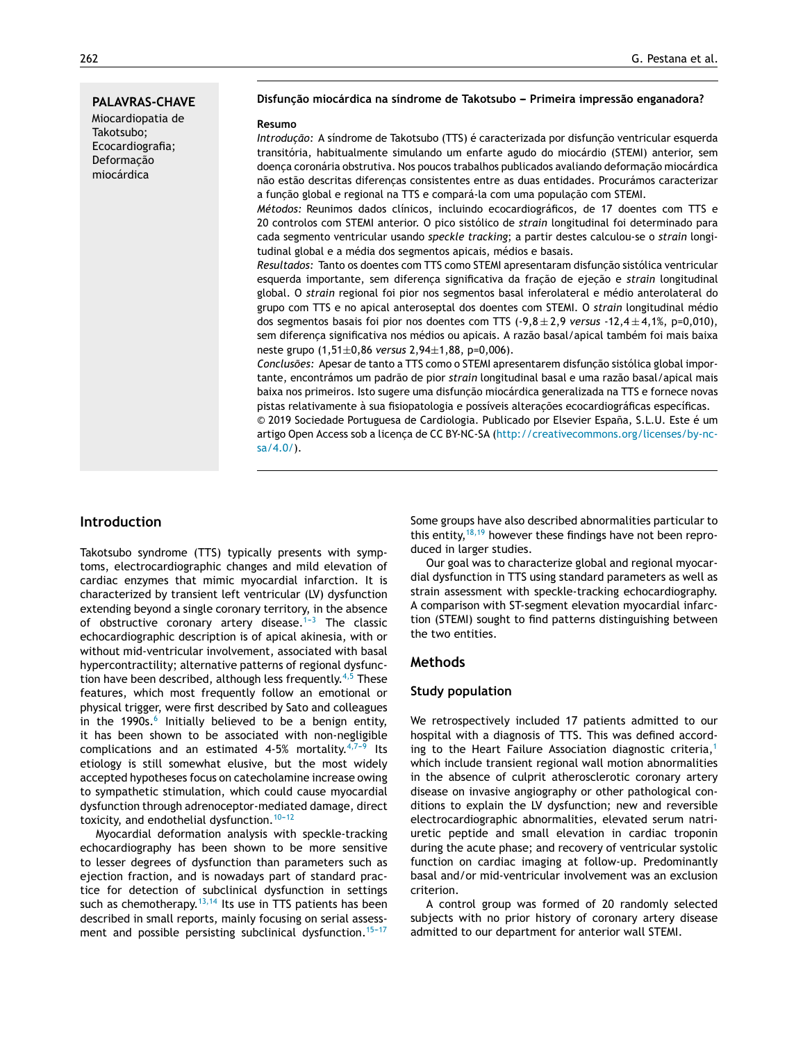# **PALAVRAS-CHAVE** Miocardiopatia de Takotsubo;

#### Ecocardiografia; **Deformacão** miocárdica

# **Disfunc¸ão miocárdica na síndrome de Takotsubo --- Primeira impressão enganadora?**

## **Resumo**

*Introdução:* A síndrome de Takotsubo (TTS) é caracterizada por disfunção ventricular esquerda transitória, habitualmente simulando um enfarte agudo do miocárdio (STEMI) anterior, sem doença coronária obstrutiva. Nos poucos trabalhos publicados avaliando deformação miocárdica não estão descritas diferencas consistentes entre as duas entidades. Procurámos caracterizar a funcão global e regional na TTS e compará-la com uma população com STEMI.

*Métodos:* Reunimos dados clínicos, incluindo ecocardiográficos, de 17 doentes com TTS e 20 controlos com STEMI anterior. O pico sistólico de *strain* longitudinal foi determinado para cada segmento ventricular usando *speckle tracking*; a partir destes calculou-se o *strain* longitudinal global e a média dos segmentos apicais, médios e basais.

Resultados: Tanto os doentes com TTS como STEMI apresentaram disfunção sistólica ventricular esquerda importante, sem diferença significativa da fração de ejeção e *strain* longitudinal global. O *strain* regional foi pior nos segmentos basal inferolateral e médio anterolateral do grupo com TTS e no apical anteroseptal dos doentes com STEMI. O *strain* longitudinal médio dos segmentos basais foi pior nos doentes com TTS (-9,8 ± 2,9 *versus* -12,4 ± 4,1%, p=0,010), sem diferença significativa nos médios ou apicais. A razão basal/apical também foi mais baixa neste grupo (1,51±0,86 *versus* 2,94±1,88, p=0,006).

Conclusões: Apesar de tanto a TTS como o STEMI apresentarem disfunção sistólica global importante, encontrámos um padrão de pior *strain* longitudinal basal e uma razão basal/apical mais baixa nos primeiros. Isto sugere uma disfunção miocárdica generalizada na TTS e fornece novas pistas relativamente à sua fisiopatologia e possíveis alterações ecocardiográficas específicas.

© 2019 Sociedade Portuguesa de Cardiologia. Publicado por Elsevier España, S.L.U. Este é um artigo Open Access sob a licença de CC BY-NC-SA ([http://creativecommons.org/licenses/by-nc](http://creativecommons.org/licenses/by-nc-sa/4.0/)[sa/4.0/](http://creativecommons.org/licenses/by-nc-sa/4.0/)).

# **Introduction**

Takotsubo syndrome (TTS) typically presents with symptoms, electrocardiographic changes and mild elevation of cardiac enzymes that mimic myocardial infarction. It is characterized by transient left ventricular (LV) dysfunction extending beyond a single coronary territory, in the absence of obstructive coronary artery disease.<sup>1-3</sup> The classic echocardiographic description is of apical akinesia, with or without mid-ventricular involvement, associated with basal hypercontractility; alternative patterns of regional dysfunc-tion have been described, although less frequently.<sup>[4,5](#page-4-0)</sup> These features, which most frequently follow an emotional or physical trigger, were first described by Sato and colleagues in the 1990s.<sup>[6](#page-4-0)</sup> Initially believed to be a benign entity, it has been shown to be associated with non-negligible complications and an estimated 4-5% mortality. $4,7-9$  Its etiology is still somewhat elusive, but the most widely accepted hypotheses focus on catecholamine increase owing to sympathetic stimulation, which could cause myocardial dysfunction through adrenoceptor-mediated damage, direct toxicity, and endothelial dysfunction.<sup>10-12</sup>

Myocardial deformation analysis with speckle-tracking echocardiography has been shown to be more sensitive to lesser degrees of dysfunction than parameters such as ejection fraction, and is nowadays part of standard practice for detection of subclinical dysfunction in settings such as chemotherapy.<sup>[13,14](#page-5-0)</sup> Its use in TTS patients has been described in small reports, mainly focusing on serial assessment and possible persisting subclinical dysfunction.<sup>15-17</sup> Some groups have also described abnormalities particular to this entity,  $18,19$  however these findings have not been reproduced in larger studies.

Our goal was to characterize global and regional myocardial dysfunction in TTS using standard parameters as well as strain assessment with speckle-tracking echocardiography. A comparison with ST-segment elevation myocardial infarction (STEMI) sought to find patterns distinguishing between the two entities.

# **Methods**

## **Study population**

We retrospectively included 17 patients admitted to our hospital with a diagnosis of TTS. This was defined accord-ing to the Heart Failure Association diagnostic criteria,<sup>[1](#page-4-0)</sup> which include transient regional wall motion abnormalities in the absence of culprit atherosclerotic coronary artery disease on invasive angiography or other pathological conditions to explain the LV dysfunction; new and reversible electrocardiographic abnormalities, elevated serum natriuretic peptide and small elevation in cardiac troponin during the acute phase; and recovery of ventricular systolic function on cardiac imaging at follow-up. Predominantly basal and/or mid-ventricular involvement was an exclusion criterion.

A control group was formed of 20 randomly selected subjects with no prior history of coronary artery disease admitted to our department for anterior wall STEMI.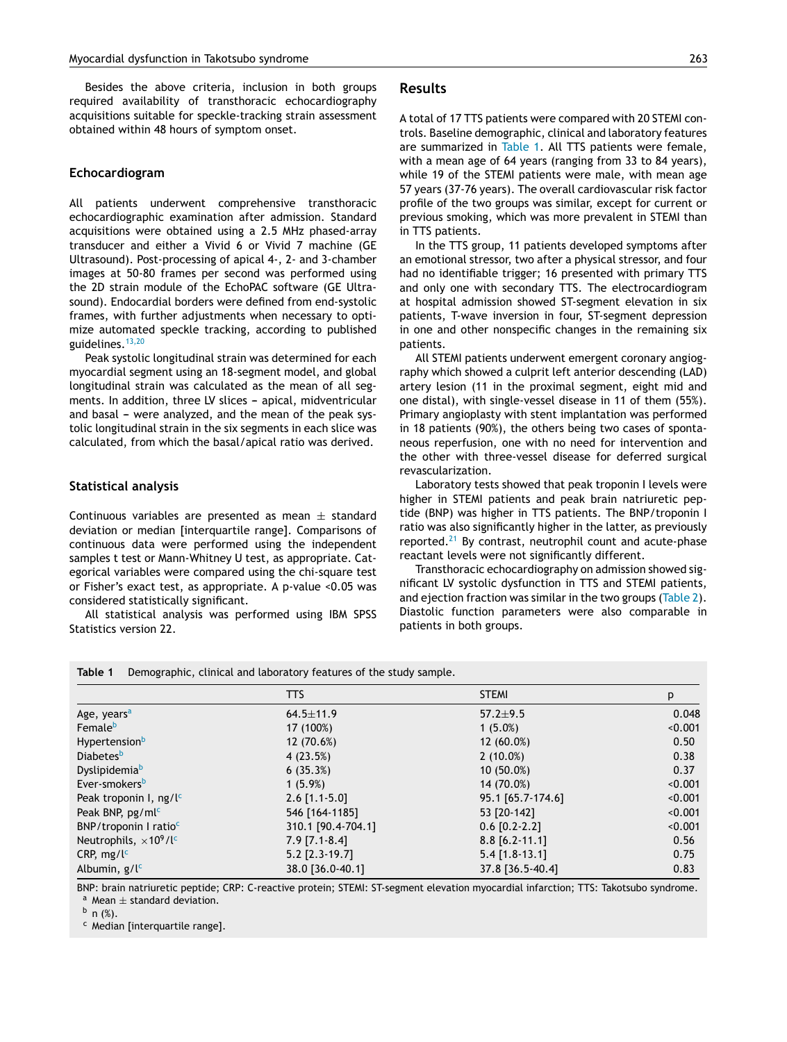Besides the above criteria, inclusion in both groups required availability of transthoracic echocardiography acquisitions suitable for speckle-tracking strain assessment obtained within 48 hours of symptom onset.

#### **Echocardiogram**

All patients underwent comprehensive transthoracic echocardiographic examination after admission. Standard acquisitions were obtained using a 2.5 MHz phased-array transducer and either a Vivid 6 or Vivid 7 machine (GE Ultrasound). Post-processing of apical 4-, 2- and 3-chamber images at 50-80 frames per second was performed using the 2D strain module of the EchoPAC software (GE Ultrasound). Endocardial borders were defined from end-systolic frames, with further adjustments when necessary to optimize automated speckle tracking, according to published guidelines.[13,20](#page-5-0)

Peak systolic longitudinal strain was determined for each myocardial segment using an 18-segment model, and global longitudinal strain was calculated as the mean of all segments. In addition, three LV slices - apical, midventricular and basal - were analyzed, and the mean of the peak systolic longitudinal strain in the six segments in each slice was calculated, from which the basal/apical ratio was derived.

#### **Statistical analysis**

Continuous variables are presented as mean  $\pm$  standard deviation or median [interquartile range]. Comparisons of continuous data were performed using the independent samples t test or Mann-Whitney U test, as appropriate. Categorical variables were compared using the chi-square test or Fisher's exact test, as appropriate. A p-value <0.05 was considered statistically significant.

All statistical analysis was performed using IBM SPSS Statistics version 22.

#### **Results**

A total of 17 TTS patients were compared with 20 STEMI controls. Baseline demographic, clinical and laboratory features are summarized in Table 1. All TTS patients were female, with a mean age of 64 years (ranging from 33 to 84 years), while 19 of the STEMI patients were male, with mean age 57 years (37-76 years). The overall cardiovascular risk factor profile of the two groups was similar, except for current or previous smoking, which was more prevalent in STEMI than in TTS patients.

In the TTS group, 11 patients developed symptoms after an emotional stressor, two after a physical stressor, and four had no identifiable trigger; 16 presented with primary TTS and only one with secondary TTS. The electrocardiogram at hospital admission showed ST-segment elevation in six patients, T-wave inversion in four, ST-segment depression in one and other nonspecific changes in the remaining six patients.

All STEMI patients underwent emergent coronary angiography which showed a culprit left anterior descending (LAD) artery lesion (11 in the proximal segment, eight mid and one distal), with single-vessel disease in 11 of them (55%). Primary angioplasty with stent implantation was performed in 18 patients (90%), the others being two cases of spontaneous reperfusion, one with no need for intervention and the other with three-vessel disease for deferred surgical revascularization.

Laboratory tests showed that peak troponin I levels were higher in STEMI patients and peak brain natriuretic peptide (BNP) was higher in TTS patients. The BNP/troponin I ratio was also significantly higher in the latter, as previously reported. $^{21}$  $^{21}$  $^{21}$  By contrast, neutrophil count and acute-phase reactant levels were not significantly different.

Transthoracic echocardiography on admission showed significant LV systolic dysfunction in TTS and STEMI patients, and ejection fraction was similar in the two groups [\(Table](#page-3-0) 2). Diastolic function parameters were also comparable in patients in both groups.

**Table 1** Demographic, clinical and laboratory features of the study sample.

|                                                  | <b>TTS</b>         | <b>STEMI</b>      | p       |
|--------------------------------------------------|--------------------|-------------------|---------|
| Age, years <sup>a</sup>                          | $64.5 \pm 11.9$    | $57.2 \pm 9.5$    | 0.048   |
| Female <sup>b</sup>                              | 17 (100%)          | $1(5.0\%)$        | < 0.001 |
| Hypertension <sup>b</sup>                        | 12 (70.6%)         | $12(60.0\%)$      | 0.50    |
| Diabetes <sup>b</sup>                            | 4(23.5%)           | $2(10.0\%)$       | 0.38    |
| Dyslipidemia <sup>b</sup>                        | 6(35.3%)           | $10(50.0\%)$      | 0.37    |
| Ever-smokers <sup>b</sup>                        | $1(5.9\%)$         | 14 (70.0%)        | < 0.001 |
| Peak troponin I, ng/ $\mathfrak{l}^{\mathsf{c}}$ | $2.6$ [1.1-5.0]    | 95.1 [65.7-174.6] | < 0.001 |
| Peak BNP, $pg/mlc$                               | 546 [164-1185]     | 53 [20-142]       | < 0.001 |
| BNP/troponin I ratio <sup>c</sup>                | 310.1 [90.4-704.1] | $0.6$ [0.2-2.2]   | < 0.001 |
| Neutrophils, $\times 10^9$ /l <sup>c</sup>       | $7.9$ [7.1-8.4]    | $8.8$ [6.2-11.1]  | 0.56    |
| CRP, $mg/lc$                                     | $5.2$ [2.3-19.7]   | $5.4$ [1.8-13.1]  | 0.75    |
| Albumin, $g/Ic$                                  | 38.0 [36.0-40.1]   | 37.8 [36.5-40.4]  | 0.83    |

BNP: brain natriuretic peptide; CRP: C-reactive protein; STEMI: ST-segment elevation myocardial infarction; TTS: Takotsubo syndrome.  $a$  Mean  $\pm$  standard deviation.

 $b$  n (%).

<sup>c</sup> Median [interquartile range].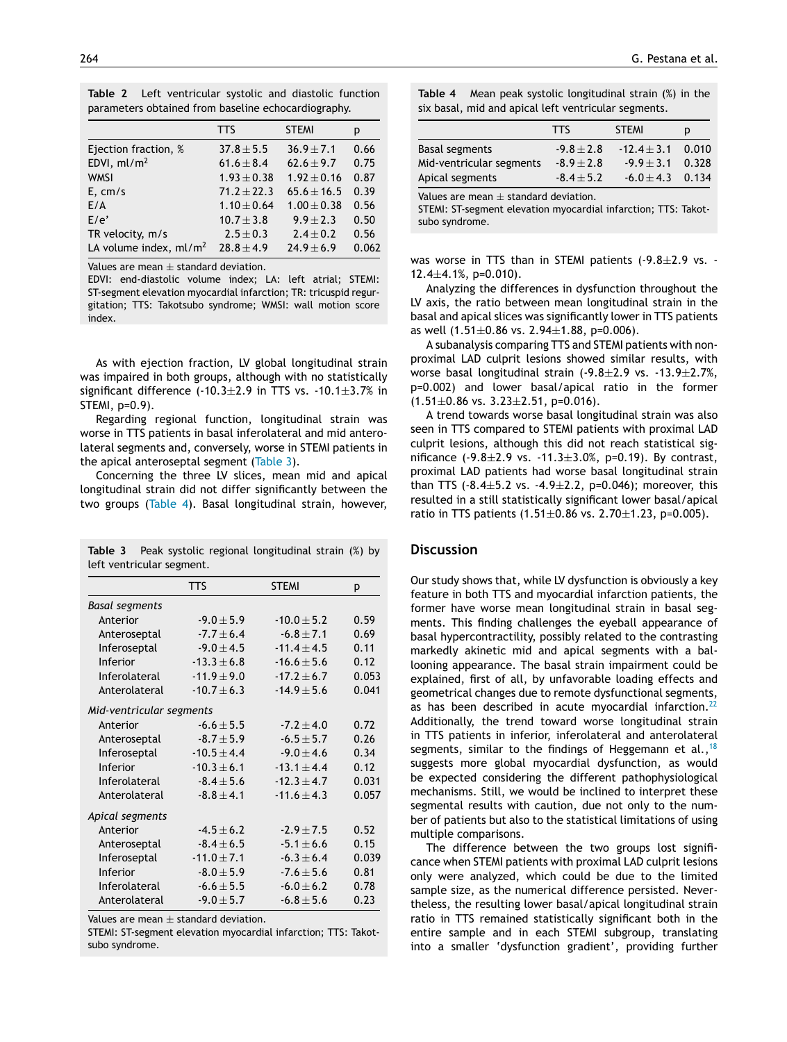<span id="page-3-0"></span>

|                                                     |  | Table 2 Left ventricular systolic and diastolic function |  |  |  |  |
|-----------------------------------------------------|--|----------------------------------------------------------|--|--|--|--|
| parameters obtained from baseline echocardiography. |  |                                                          |  |  |  |  |

|                          | <b>TTS</b>      | <b>STEMI</b>    | р     |
|--------------------------|-----------------|-----------------|-------|
| Ejection fraction, %     | $37.8 \pm 5.5$  | $36.9 \pm 7.1$  | 0.66  |
| EDVI, $ml/m2$            | $61.6 \pm 8.4$  | $62.6 + 9.7$    | 0.75  |
| <b>WMSI</b>              | $1.93 \pm 0.38$ | $1.92 \pm 0.16$ | 0.87  |
| E, cm/s                  | $71.2 \pm 22.3$ | $65.6 \pm 16.5$ | 0.39  |
| F/A                      | $1.10 \pm 0.64$ | $1.00 \pm 0.38$ | 0.56  |
| E/e'                     | $10.7 \pm 3.8$  | $9.9 \pm 2.3$   | 0.50  |
| TR velocity, m/s         | $2.5 + 0.3$     | $2.4 + 0.2$     | 0.56  |
| LA volume index, $ml/m2$ | $28.8 + 4.9$    | $24.9 + 6.9$    | 0.062 |
|                          |                 |                 |       |

Values are mean  $+$  standard deviation.

EDVI: end-diastolic volume index; LA: left atrial; STEMI: ST-segment elevation myocardial infarction; TR: tricuspid regurgitation; TTS: Takotsubo syndrome; WMSI: wall motion score index.

As with ejection fraction, LV global longitudinal strain was impaired in both groups, although with no statistically significant difference  $(-10.3 \pm 2.9)$  in TTS vs.  $-10.1 \pm 3.7\%$  in STEMI, p=0.9).

Regarding regional function, longitudinal strain was worse in TTS patients in basal inferolateral and mid anterolateral segments and, conversely, worse in STEMI patients in the apical anteroseptal segment (Table 3).

Concerning the three LV slices, mean mid and apical longitudinal strain did not differ significantly between the two groups (Table 4). Basal longitudinal strain, however,

| <b>Table 3</b> Peak systolic regional longitudinal strain (%) by |  |  |  |
|------------------------------------------------------------------|--|--|--|
| left ventricular segment.                                        |  |  |  |

|                          | <b>TTS</b>      | <b>STEMI</b>    | p     |
|--------------------------|-----------------|-----------------|-------|
| <b>Basal segments</b>    |                 |                 |       |
| Anterior                 | $-9.0 \pm 5.9$  | $-10.0 \pm 5.2$ | 0.59  |
| Anteroseptal             | $-7.7 \pm 6.4$  | $-6.8 \pm 7.1$  | 0.69  |
| Inferoseptal             | $-9.0 \pm 4.5$  | $-11.4 \pm 4.5$ | 0.11  |
| Inferior                 | $-13.3 \pm 6.8$ | $-16.6 \pm 5.6$ | 0.12  |
| Inferolateral            | $-11.9 \pm 9.0$ | $-17.2 \pm 6.7$ | 0.053 |
| Anterolateral            | $-10.7 \pm 6.3$ | $-14.9 \pm 5.6$ | 0.041 |
| Mid-ventricular segments |                 |                 |       |
| Anterior                 | $-6.6 \pm 5.5$  | $-7.2 \pm 4.0$  | 0.72  |
| Anteroseptal             | $-8.7 \pm 5.9$  | $-6.5 \pm 5.7$  | 0.26  |
| Inferoseptal             | $-10.5 \pm 4.4$ | $-9.0 \pm 4.6$  | 0.34  |
| Inferior                 | $-10.3 \pm 6.1$ | $-13.1 \pm 4.4$ | 0.12  |
| Inferolateral            | $-8.4 \pm 5.6$  | $-12.3 \pm 4.7$ | 0.031 |
| Anterolateral            | $-8.8 \pm 4.1$  | $-11.6 \pm 4.3$ | 0.057 |
| Apical segments          |                 |                 |       |
| Anterior                 | $-4.5 \pm 6.2$  | $-2.9 \pm 7.5$  | 0.52  |
| Anteroseptal             | $-8.4 \pm 6.5$  | $-5.1 \pm 6.6$  | 0.15  |
| Inferoseptal             | $-11.0 \pm 7.1$ | $-6.3 \pm 6.4$  | 0.039 |
| Inferior                 | $-8.0 \pm 5.9$  | $-7.6 \pm 5.6$  | 0.81  |
| Inferolateral            | $-6.6 \pm 5.5$  | $-6.0 \pm 6.2$  | 0.78  |
| Anterolateral            | $-9.0 \pm 5.7$  | $-6.8 \pm 5.6$  | 0.23  |

Values are mean  $\pm$  standard deviation.

STEMI: ST-segment elevation myocardial infarction; TTS: Takotsubo syndrome.

**Table 4** Mean peak systolic longitudinal strain (%) in the six basal, mid and apical left ventricular segments.

|                                                                                                                      | <b>TTS</b>     | <b>STEMI</b>          | p |
|----------------------------------------------------------------------------------------------------------------------|----------------|-----------------------|---|
| <b>Basal segments</b>                                                                                                | $-9.8 \pm 2.8$ | $-12.4 \pm 3.1$ 0.010 |   |
| Mid-ventricular segments                                                                                             | $-8.9 \pm 2.8$ | $-9.9 \pm 3.1$ 0.328  |   |
| Apical segments                                                                                                      | $-8.4 \pm 5.2$ | $-6.0 \pm 4.3$ 0.134  |   |
| .<br>the contract of the contract of the contract of the contract of the contract of the contract of the contract of |                |                       |   |

Values are mean  $\pm$  standard deviation.

STEMI: ST-segment elevation myocardial infarction; TTS: Takotsubo syndrome.

was worse in TTS than in STEMI patients (-9.8±2.9 vs. -  $12.4 \pm 4.1\%$ , p=0.010).

Analyzing the differences in dysfunction throughout the LV axis, the ratio between mean longitudinal strain in the basal and apical slices was significantly lower in TTS patients as well  $(1.51\pm0.86 \text{ vs. } 2.94\pm1.88, \text{ p=0.006}).$ 

A subanalysis comparing TTS and STEMI patients with nonproximal LAD culprit lesions showed similar results, with worse basal longitudinal strain (-9.8±2.9 vs. -13.9±2.7%, p=0.002) and lower basal/apical ratio in the former  $(1.51\pm0.86 \text{ vs. } 3.23\pm2.51, \text{ p=0.016}).$ 

A trend towards worse basal longitudinal strain was also seen in TTS compared to STEMI patients with proximal LAD culprit lesions, although this did not reach statistical significance (-9.8±2.9 vs. -11.3±3.0%, p=0.19). By contrast, proximal LAD patients had worse basal longitudinal strain than TTS ( $-8.4 \pm 5.2$  vs.  $-4.9 \pm 2.2$ , p=0.046); moreover, this resulted in a still statistically significant lower basal/apical ratio in TTS patients  $(1.51 \pm 0.86 \text{ vs. } 2.70 \pm 1.23, \text{ p=0.005}).$ 

#### **Discussion**

Our study shows that, while LV dysfunction is obviously a key feature in both TTS and myocardial infarction patients, the former have worse mean longitudinal strain in basal segments. This finding challenges the eyeball appearance of basal hypercontractility, possibly related to the contrasting markedly akinetic mid and apical segments with a ballooning appearance. The basal strain impairment could be explained, first of all, by unfavorable loading effects and geometrical changes due to remote dysfunctional segments, as has been described in acute myocardial infarction.<sup>[22](#page-5-0)</sup> Additionally, the trend toward worse longitudinal strain in TTS patients in inferior, inferolateral and anterolateral segments, similar to the findings of Heggemann et al.,  $18$ suggests more global myocardial dysfunction, as would be expected considering the different pathophysiological mechanisms. Still, we would be inclined to interpret these segmental results with caution, due not only to the number of patients but also to the statistical limitations of using multiple comparisons.

The difference between the two groups lost significance when STEMI patients with proximal LAD culprit lesions only were analyzed, which could be due to the limited sample size, as the numerical difference persisted. Nevertheless, the resulting lower basal/apical longitudinal strain ratio in TTS remained statistically significant both in the entire sample and in each STEMI subgroup, translating into a smaller 'dysfunction gradient', providing further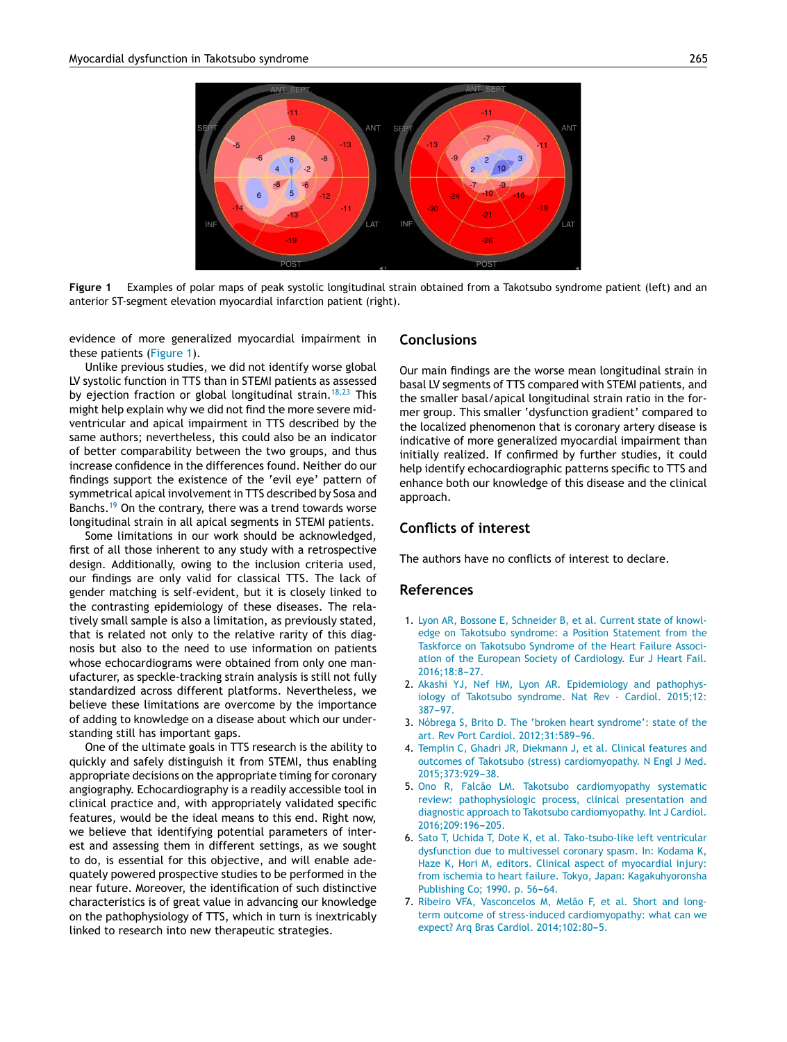<span id="page-4-0"></span>

**Figure 1** Examples of polar maps of peak systolic longitudinal strain obtained from a Takotsubo syndrome patient (left) and an anterior ST-segment elevation myocardial infarction patient (right).

evidence of more generalized myocardial impairment in these patients (Figure 1).

Unlike previous studies, we did not identify worse global LV systolic function in TTS than in STEMI patients as assessed by ejection fraction or global longitudinal strain.<sup>[18,23](#page-5-0)</sup> This might help explain why we did not find the more severe midventricular and apical impairment in TTS described by the same authors; nevertheless, this could also be an indicator of better comparability between the two groups, and thus increase confidence in the differences found. Neither do our findings support the existence of the 'evil eye' pattern of symmetrical apical involvement in TTS described by Sosa and Banchs.<sup>[19](#page-5-0)</sup> On the contrary, there was a trend towards worse longitudinal strain in all apical segments in STEMI patients.

Some limitations in our work should be acknowledged, first of all those inherent to any study with a retrospective design. Additionally, owing to the inclusion criteria used, our findings are only valid for classical TTS. The lack of gender matching is self-evident, but it is closely linked to the contrasting epidemiology of these diseases. The relatively small sample is also a limitation, as previously stated, that is related not only to the relative rarity of this diagnosis but also to the need to use information on patients whose echocardiograms were obtained from only one manufacturer, as speckle-tracking strain analysis is still not fully standardized across different platforms. Nevertheless, we believe these limitations are overcome by the importance of adding to knowledge on a disease about which our understanding still has important gaps.

One of the ultimate goals in TTS research is the ability to quickly and safely distinguish it from STEMI, thus enabling appropriate decisions on the appropriate timing for coronary angiography. Echocardiography is a readily accessible tool in clinical practice and, with appropriately validated specific features, would be the ideal means to this end. Right now, we believe that identifying potential parameters of interest and assessing them in different settings, as we sought to do, is essential for this objective, and will enable adequately powered prospective studies to be performed in the near future. Moreover, the identification of such distinctive characteristics is of great value in advancing our knowledge on the pathophysiology of TTS, which in turn is inextricably linked to research into new therapeutic strategies.

#### **Conclusions**

Our main findings are the worse mean longitudinal strain in basal LV segments of TTS compared with STEMI patients, and the smaller basal/apical longitudinal strain ratio in the former group. This smaller 'dysfunction gradient' compared to the localized phenomenon that is coronary artery disease is indicative of more generalized myocardial impairment than initially realized. If confirmed by further studies, it could help identify echocardiographic patterns specific to TTS and enhance both our knowledge of this disease and the clinical approach.

# **Conflicts of interest**

The authors have no conflicts of interest to declare.

## **References**

- 1. [Lyon](http://refhub.elsevier.com/S0870-2551(17)30965-4/sbref0120) [AR,](http://refhub.elsevier.com/S0870-2551(17)30965-4/sbref0120) [Bossone](http://refhub.elsevier.com/S0870-2551(17)30965-4/sbref0120) [E,](http://refhub.elsevier.com/S0870-2551(17)30965-4/sbref0120) [Schneider](http://refhub.elsevier.com/S0870-2551(17)30965-4/sbref0120) [B,](http://refhub.elsevier.com/S0870-2551(17)30965-4/sbref0120) [et](http://refhub.elsevier.com/S0870-2551(17)30965-4/sbref0120) [al.](http://refhub.elsevier.com/S0870-2551(17)30965-4/sbref0120) [Current](http://refhub.elsevier.com/S0870-2551(17)30965-4/sbref0120) [state](http://refhub.elsevier.com/S0870-2551(17)30965-4/sbref0120) [of](http://refhub.elsevier.com/S0870-2551(17)30965-4/sbref0120) [knowl](http://refhub.elsevier.com/S0870-2551(17)30965-4/sbref0120)[edge](http://refhub.elsevier.com/S0870-2551(17)30965-4/sbref0120) [on](http://refhub.elsevier.com/S0870-2551(17)30965-4/sbref0120) [Takotsubo](http://refhub.elsevier.com/S0870-2551(17)30965-4/sbref0120) [syndrome:](http://refhub.elsevier.com/S0870-2551(17)30965-4/sbref0120) [a](http://refhub.elsevier.com/S0870-2551(17)30965-4/sbref0120) [Position](http://refhub.elsevier.com/S0870-2551(17)30965-4/sbref0120) [Statement](http://refhub.elsevier.com/S0870-2551(17)30965-4/sbref0120) [from](http://refhub.elsevier.com/S0870-2551(17)30965-4/sbref0120) [the](http://refhub.elsevier.com/S0870-2551(17)30965-4/sbref0120) [Taskforce](http://refhub.elsevier.com/S0870-2551(17)30965-4/sbref0120) [on](http://refhub.elsevier.com/S0870-2551(17)30965-4/sbref0120) [Takotsubo](http://refhub.elsevier.com/S0870-2551(17)30965-4/sbref0120) [Syndrome](http://refhub.elsevier.com/S0870-2551(17)30965-4/sbref0120) [of](http://refhub.elsevier.com/S0870-2551(17)30965-4/sbref0120) [the](http://refhub.elsevier.com/S0870-2551(17)30965-4/sbref0120) [Heart](http://refhub.elsevier.com/S0870-2551(17)30965-4/sbref0120) [Failure](http://refhub.elsevier.com/S0870-2551(17)30965-4/sbref0120) [Associ](http://refhub.elsevier.com/S0870-2551(17)30965-4/sbref0120)[ation](http://refhub.elsevier.com/S0870-2551(17)30965-4/sbref0120) [of](http://refhub.elsevier.com/S0870-2551(17)30965-4/sbref0120) [the](http://refhub.elsevier.com/S0870-2551(17)30965-4/sbref0120) [European](http://refhub.elsevier.com/S0870-2551(17)30965-4/sbref0120) [Society](http://refhub.elsevier.com/S0870-2551(17)30965-4/sbref0120) [of](http://refhub.elsevier.com/S0870-2551(17)30965-4/sbref0120) [Cardiology.](http://refhub.elsevier.com/S0870-2551(17)30965-4/sbref0120) [Eur](http://refhub.elsevier.com/S0870-2551(17)30965-4/sbref0120) [J](http://refhub.elsevier.com/S0870-2551(17)30965-4/sbref0120) [Heart](http://refhub.elsevier.com/S0870-2551(17)30965-4/sbref0120) [Fail.](http://refhub.elsevier.com/S0870-2551(17)30965-4/sbref0120) 2016:18:8-[27.](http://refhub.elsevier.com/S0870-2551(17)30965-4/sbref0120)
- 2. [Akashi](http://refhub.elsevier.com/S0870-2551(17)30965-4/sbref0125) [YJ,](http://refhub.elsevier.com/S0870-2551(17)30965-4/sbref0125) [Nef](http://refhub.elsevier.com/S0870-2551(17)30965-4/sbref0125) [HM,](http://refhub.elsevier.com/S0870-2551(17)30965-4/sbref0125) [Lyon](http://refhub.elsevier.com/S0870-2551(17)30965-4/sbref0125) [AR.](http://refhub.elsevier.com/S0870-2551(17)30965-4/sbref0125) [Epidemiology](http://refhub.elsevier.com/S0870-2551(17)30965-4/sbref0125) [and](http://refhub.elsevier.com/S0870-2551(17)30965-4/sbref0125) [pathophys](http://refhub.elsevier.com/S0870-2551(17)30965-4/sbref0125)[iology](http://refhub.elsevier.com/S0870-2551(17)30965-4/sbref0125) [of](http://refhub.elsevier.com/S0870-2551(17)30965-4/sbref0125) [Takotsubo](http://refhub.elsevier.com/S0870-2551(17)30965-4/sbref0125) [syndrome.](http://refhub.elsevier.com/S0870-2551(17)30965-4/sbref0125) [Nat](http://refhub.elsevier.com/S0870-2551(17)30965-4/sbref0125) [Rev](http://refhub.elsevier.com/S0870-2551(17)30965-4/sbref0125) [-](http://refhub.elsevier.com/S0870-2551(17)30965-4/sbref0125) [Cardiol.](http://refhub.elsevier.com/S0870-2551(17)30965-4/sbref0125) [2015;12:](http://refhub.elsevier.com/S0870-2551(17)30965-4/sbref0125) 387-97.
- 3. [Nóbrega](http://refhub.elsevier.com/S0870-2551(17)30965-4/sbref0130) [S,](http://refhub.elsevier.com/S0870-2551(17)30965-4/sbref0130) [Brito](http://refhub.elsevier.com/S0870-2551(17)30965-4/sbref0130) [D.](http://refhub.elsevier.com/S0870-2551(17)30965-4/sbref0130) [The](http://refhub.elsevier.com/S0870-2551(17)30965-4/sbref0130) ['broken](http://refhub.elsevier.com/S0870-2551(17)30965-4/sbref0130) [heart](http://refhub.elsevier.com/S0870-2551(17)30965-4/sbref0130) [syndrome':](http://refhub.elsevier.com/S0870-2551(17)30965-4/sbref0130) [state](http://refhub.elsevier.com/S0870-2551(17)30965-4/sbref0130) [of](http://refhub.elsevier.com/S0870-2551(17)30965-4/sbref0130) [the](http://refhub.elsevier.com/S0870-2551(17)30965-4/sbref0130) [art.](http://refhub.elsevier.com/S0870-2551(17)30965-4/sbref0130) [Rev](http://refhub.elsevier.com/S0870-2551(17)30965-4/sbref0130) [Port](http://refhub.elsevier.com/S0870-2551(17)30965-4/sbref0130) [Cardiol.](http://refhub.elsevier.com/S0870-2551(17)30965-4/sbref0130) 2012;31:589-96.
- 4. [Templin](http://refhub.elsevier.com/S0870-2551(17)30965-4/sbref0135) [C,](http://refhub.elsevier.com/S0870-2551(17)30965-4/sbref0135) [Ghadri](http://refhub.elsevier.com/S0870-2551(17)30965-4/sbref0135) [JR,](http://refhub.elsevier.com/S0870-2551(17)30965-4/sbref0135) [Diekmann](http://refhub.elsevier.com/S0870-2551(17)30965-4/sbref0135) [J,](http://refhub.elsevier.com/S0870-2551(17)30965-4/sbref0135) [et](http://refhub.elsevier.com/S0870-2551(17)30965-4/sbref0135) [al.](http://refhub.elsevier.com/S0870-2551(17)30965-4/sbref0135) [Clinical](http://refhub.elsevier.com/S0870-2551(17)30965-4/sbref0135) [features](http://refhub.elsevier.com/S0870-2551(17)30965-4/sbref0135) [and](http://refhub.elsevier.com/S0870-2551(17)30965-4/sbref0135) [outcomes](http://refhub.elsevier.com/S0870-2551(17)30965-4/sbref0135) [of](http://refhub.elsevier.com/S0870-2551(17)30965-4/sbref0135) [Takotsubo](http://refhub.elsevier.com/S0870-2551(17)30965-4/sbref0135) [\(stress\)](http://refhub.elsevier.com/S0870-2551(17)30965-4/sbref0135) [cardiomyopathy.](http://refhub.elsevier.com/S0870-2551(17)30965-4/sbref0135) [N](http://refhub.elsevier.com/S0870-2551(17)30965-4/sbref0135) [Engl](http://refhub.elsevier.com/S0870-2551(17)30965-4/sbref0135) [J](http://refhub.elsevier.com/S0870-2551(17)30965-4/sbref0135) [Med.](http://refhub.elsevier.com/S0870-2551(17)30965-4/sbref0135) 2015:373:929-38.
- 5. [Ono](http://refhub.elsevier.com/S0870-2551(17)30965-4/sbref0140) [R,](http://refhub.elsevier.com/S0870-2551(17)30965-4/sbref0140) [Falcão](http://refhub.elsevier.com/S0870-2551(17)30965-4/sbref0140) [LM.](http://refhub.elsevier.com/S0870-2551(17)30965-4/sbref0140) [Takotsubo](http://refhub.elsevier.com/S0870-2551(17)30965-4/sbref0140) [cardiomyopathy](http://refhub.elsevier.com/S0870-2551(17)30965-4/sbref0140) [systematic](http://refhub.elsevier.com/S0870-2551(17)30965-4/sbref0140) [review:](http://refhub.elsevier.com/S0870-2551(17)30965-4/sbref0140) [pathophysiologic](http://refhub.elsevier.com/S0870-2551(17)30965-4/sbref0140) [process,](http://refhub.elsevier.com/S0870-2551(17)30965-4/sbref0140) [clinical](http://refhub.elsevier.com/S0870-2551(17)30965-4/sbref0140) [presentation](http://refhub.elsevier.com/S0870-2551(17)30965-4/sbref0140) [and](http://refhub.elsevier.com/S0870-2551(17)30965-4/sbref0140) [diagnostic](http://refhub.elsevier.com/S0870-2551(17)30965-4/sbref0140) [approach](http://refhub.elsevier.com/S0870-2551(17)30965-4/sbref0140) [to](http://refhub.elsevier.com/S0870-2551(17)30965-4/sbref0140) [Takotsubo](http://refhub.elsevier.com/S0870-2551(17)30965-4/sbref0140) [cardiomyopathy.](http://refhub.elsevier.com/S0870-2551(17)30965-4/sbref0140) [Int](http://refhub.elsevier.com/S0870-2551(17)30965-4/sbref0140) [J](http://refhub.elsevier.com/S0870-2551(17)30965-4/sbref0140) [Cardiol.](http://refhub.elsevier.com/S0870-2551(17)30965-4/sbref0140) 2016;209:196-205.
- 6. [Sato](http://refhub.elsevier.com/S0870-2551(17)30965-4/sbref0145) [T,](http://refhub.elsevier.com/S0870-2551(17)30965-4/sbref0145) [Uchida](http://refhub.elsevier.com/S0870-2551(17)30965-4/sbref0145) [T,](http://refhub.elsevier.com/S0870-2551(17)30965-4/sbref0145) [Dote](http://refhub.elsevier.com/S0870-2551(17)30965-4/sbref0145) [K,](http://refhub.elsevier.com/S0870-2551(17)30965-4/sbref0145) [et](http://refhub.elsevier.com/S0870-2551(17)30965-4/sbref0145) [al.](http://refhub.elsevier.com/S0870-2551(17)30965-4/sbref0145) [Tako-tsubo-like](http://refhub.elsevier.com/S0870-2551(17)30965-4/sbref0145) [left](http://refhub.elsevier.com/S0870-2551(17)30965-4/sbref0145) [ventricular](http://refhub.elsevier.com/S0870-2551(17)30965-4/sbref0145) [dysfunction](http://refhub.elsevier.com/S0870-2551(17)30965-4/sbref0145) [due](http://refhub.elsevier.com/S0870-2551(17)30965-4/sbref0145) [to](http://refhub.elsevier.com/S0870-2551(17)30965-4/sbref0145) [multivessel](http://refhub.elsevier.com/S0870-2551(17)30965-4/sbref0145) [coronary](http://refhub.elsevier.com/S0870-2551(17)30965-4/sbref0145) [spasm.](http://refhub.elsevier.com/S0870-2551(17)30965-4/sbref0145) [In:](http://refhub.elsevier.com/S0870-2551(17)30965-4/sbref0145) [Kodama](http://refhub.elsevier.com/S0870-2551(17)30965-4/sbref0145) [K,](http://refhub.elsevier.com/S0870-2551(17)30965-4/sbref0145) [Haze](http://refhub.elsevier.com/S0870-2551(17)30965-4/sbref0145) [K,](http://refhub.elsevier.com/S0870-2551(17)30965-4/sbref0145) [Hori](http://refhub.elsevier.com/S0870-2551(17)30965-4/sbref0145) [M,](http://refhub.elsevier.com/S0870-2551(17)30965-4/sbref0145) [editors.](http://refhub.elsevier.com/S0870-2551(17)30965-4/sbref0145) [Clinical](http://refhub.elsevier.com/S0870-2551(17)30965-4/sbref0145) [aspect](http://refhub.elsevier.com/S0870-2551(17)30965-4/sbref0145) [of](http://refhub.elsevier.com/S0870-2551(17)30965-4/sbref0145) [myocardial](http://refhub.elsevier.com/S0870-2551(17)30965-4/sbref0145) [injury:](http://refhub.elsevier.com/S0870-2551(17)30965-4/sbref0145) [from](http://refhub.elsevier.com/S0870-2551(17)30965-4/sbref0145) [ischemia](http://refhub.elsevier.com/S0870-2551(17)30965-4/sbref0145) [to](http://refhub.elsevier.com/S0870-2551(17)30965-4/sbref0145) [heart](http://refhub.elsevier.com/S0870-2551(17)30965-4/sbref0145) [failure.](http://refhub.elsevier.com/S0870-2551(17)30965-4/sbref0145) [Tokyo,](http://refhub.elsevier.com/S0870-2551(17)30965-4/sbref0145) [Japan:](http://refhub.elsevier.com/S0870-2551(17)30965-4/sbref0145) [Kagakuhyoronsha](http://refhub.elsevier.com/S0870-2551(17)30965-4/sbref0145) [Publishing](http://refhub.elsevier.com/S0870-2551(17)30965-4/sbref0145) [Co;](http://refhub.elsevier.com/S0870-2551(17)30965-4/sbref0145) [1990.](http://refhub.elsevier.com/S0870-2551(17)30965-4/sbref0145) [p.](http://refhub.elsevier.com/S0870-2551(17)30965-4/sbref0145) 56-64.
- 7. [Ribeiro](http://refhub.elsevier.com/S0870-2551(17)30965-4/sbref0150) [VFA,](http://refhub.elsevier.com/S0870-2551(17)30965-4/sbref0150) [Vasconcelos](http://refhub.elsevier.com/S0870-2551(17)30965-4/sbref0150) [M,](http://refhub.elsevier.com/S0870-2551(17)30965-4/sbref0150) [Melão](http://refhub.elsevier.com/S0870-2551(17)30965-4/sbref0150) [F,](http://refhub.elsevier.com/S0870-2551(17)30965-4/sbref0150) [et](http://refhub.elsevier.com/S0870-2551(17)30965-4/sbref0150) [al.](http://refhub.elsevier.com/S0870-2551(17)30965-4/sbref0150) [Short](http://refhub.elsevier.com/S0870-2551(17)30965-4/sbref0150) [and](http://refhub.elsevier.com/S0870-2551(17)30965-4/sbref0150) [long](http://refhub.elsevier.com/S0870-2551(17)30965-4/sbref0150)[term](http://refhub.elsevier.com/S0870-2551(17)30965-4/sbref0150) [outcome](http://refhub.elsevier.com/S0870-2551(17)30965-4/sbref0150) [of](http://refhub.elsevier.com/S0870-2551(17)30965-4/sbref0150) [stress-induced](http://refhub.elsevier.com/S0870-2551(17)30965-4/sbref0150) [cardiomyopathy:](http://refhub.elsevier.com/S0870-2551(17)30965-4/sbref0150) [what](http://refhub.elsevier.com/S0870-2551(17)30965-4/sbref0150) [can](http://refhub.elsevier.com/S0870-2551(17)30965-4/sbref0150) [we](http://refhub.elsevier.com/S0870-2551(17)30965-4/sbref0150) [expect?](http://refhub.elsevier.com/S0870-2551(17)30965-4/sbref0150) [Arq](http://refhub.elsevier.com/S0870-2551(17)30965-4/sbref0150) [Bras](http://refhub.elsevier.com/S0870-2551(17)30965-4/sbref0150) [Cardiol.](http://refhub.elsevier.com/S0870-2551(17)30965-4/sbref0150) [2014;102:80](http://refhub.elsevier.com/S0870-2551(17)30965-4/sbref0150)-[5.](http://refhub.elsevier.com/S0870-2551(17)30965-4/sbref0150)